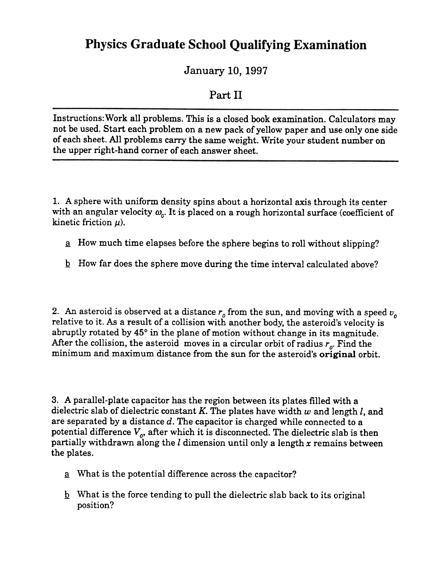## **Physics Graduate School Qualifying Examination**

January 10, 1997

## Part II

Instructions: Work all problems. This is a closed book examination. Calculators may not be used. Start each problem on a new pack of yellow paper and use only one side of each sheet. All problems carry the same weight. Write your student number on the upper right-hand corner of each answer sheet.

1. A sphere with uniform density spins about a horizontal axis through its center with an angular velocity  $\omega_o$ . It is placed on a rough horizontal surface (coefficient of kinetic friction  $\mu$ ).

- $\alpha$  How much time elapses before the sphere begins to roll without slipping?
- **How far does the sphere move during the time interval calculated above?**

2. An asteroid is observed at a distance  $r<sub>o</sub>$  from the sun, and moving with a speed  $v<sub>o</sub>$ relative to it. As a result of a collision with another body, the asteroid's velocity is abruptly rotated by 45° in the plane of motion without change in its magnitude. After the collision, the asteroid moves in a circular orbit of radius  $r_o$ . Find the minimum and maximum distance from the sun for the asteroid's original orbit.

3. A parallel-plate capacitor has the region between its plates filled with a dielectric slab of dielectric constant K. The plates have width  $w$  and length  $l$ , and are separated by a distance  $d$ . The capacitor is charged while connected to a potential difference  $V_{\rho}$ , after which it is disconnected. The dielectric slab is then partially withdrawn along the  $l$  dimension until only a length  $x$  remains between the plates.

- a What is the potential difference across the capacitor?
- $\underline{b}$  What is the force tending to pull the dielectric slab back to its original position?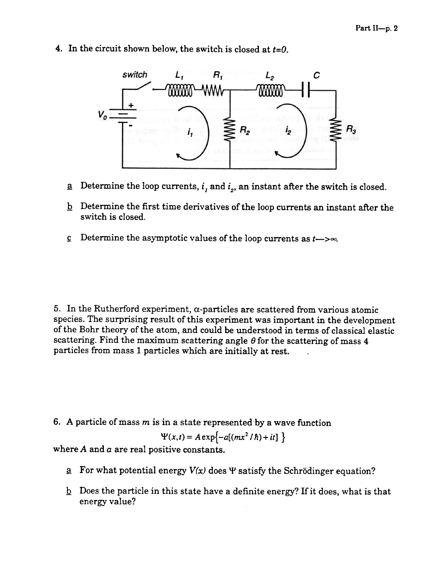4. In the circuit shown below, the switch is closed at  $t=0$ .



- $\alpha$  Determine the loop currents,  $i_j$  and  $i_z$ , an instant after the switch is closed.
- $\underline{b}$  Determine the first time derivatives of the loop currents an instant after the switch is closed.
- $\mathbf c$  Determine the asymptotic values of the loop currents as  $t \rightarrow \infty$ .

5. In the Rutherford experiment,  $\alpha$ -particles are scattered from various atomic species. The surprising result of this experiment was important in the development of the Bohr theory of the atom, and could be understood in terms of classical elastic scattering. Find the maximum scattering angle  $\theta$  for the scattering of mass 4 particles from mass 1 particles which are initially at rest.

6. A particle of mass  $m$  is in a state represented by a wave function

 $\Psi(x,t) = A \exp\left\{-a[(mx^2/\hbar) + it]\ \right\}$ 

where  $A$  and  $a$  are real positive constants.

- $\alpha$  For what potential energy  $V(x)$  does  $\Psi$  satisfy the Schrödinger equation?
- $\underline{b}$ . Does the particle in this state have a definite energy? If it does, what is that energy value?